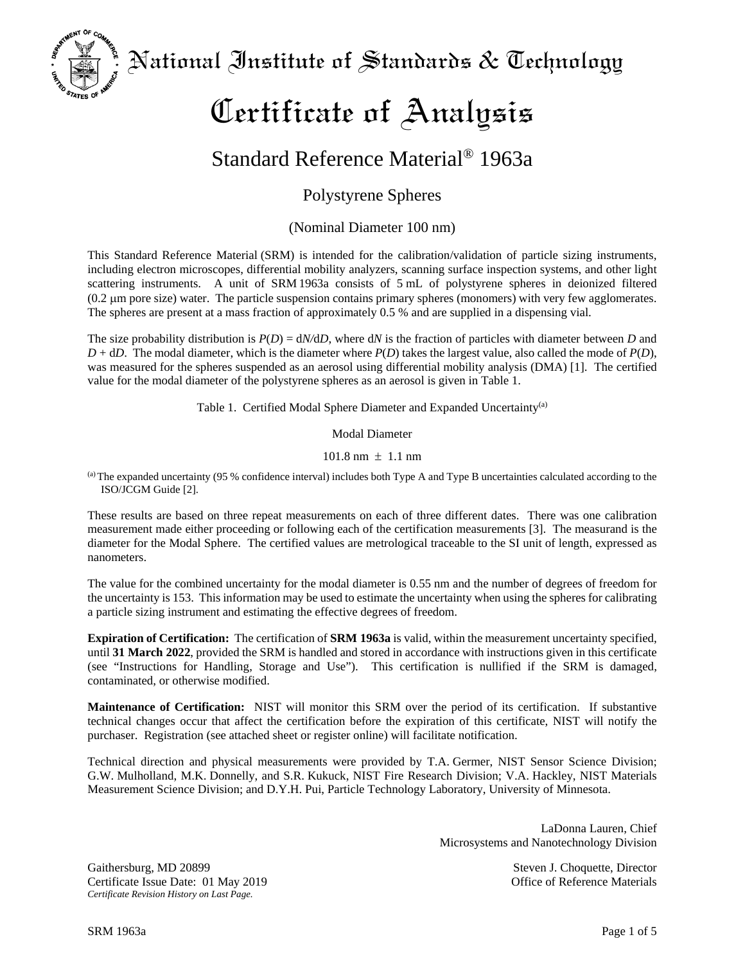National Institute of Standards & Technology

# Certificate of Analysis

# Standard Reference Material® 1963a

## Polystyrene Spheres

### (Nominal Diameter 100 nm)

This Standard Reference Material (SRM) is intended for the calibration/validation of particle sizing instruments, including electron microscopes, differential mobility analyzers, scanning surface inspection systems, and other light scattering instruments. A unit of SRM 1963a consists of 5 mL of polystyrene spheres in deionized filtered (0.2 µm pore size) water. The particle suspension contains primary spheres (monomers) with very few agglomerates. The spheres are present at a mass fraction of approximately 0.5 % and are supplied in a dispensing vial.

The size probability distribution is *P*(*D*) = d*N/*d*D*, where d*N* is the fraction of particles with diameter between *D* and  $D + dD$ . The modal diameter, which is the diameter where  $P(D)$  takes the largest value, also called the mode of  $P(D)$ , was measured for the spheres suspended as an aerosol using differential mobility analysis (DMA) [1]. The certified value for the modal diameter of the polystyrene spheres as an aerosol is given in Table 1.

Table 1. Certified Modal Sphere Diameter and Expanded Uncertainty<sup>(a)</sup>

Modal Diameter

 $101.8$  nm  $\pm$  1.1 nm

(a)The expanded uncertainty (95 % confidence interval) includes both Type A and Type B uncertainties calculated according to the ISO/JCGM Guide [2].

These results are based on three repeat measurements on each of three different dates. There was one calibration measurement made either proceeding or following each of the certification measurements [3]. The measurand is the diameter for the Modal Sphere. The certified values are metrological traceable to the SI unit of length, expressed as nanometers.

The value for the combined uncertainty for the modal diameter is 0.55 nm and the number of degrees of freedom for the uncertainty is 153. This information may be used to estimate the uncertainty when using the spheres for calibrating a particle sizing instrument and estimating the effective degrees of freedom.

**Expiration of Certification:** The certification of **SRM 1963a** is valid, within the measurement uncertainty specified, until **31 March 2022**, provided the SRM is handled and stored in accordance with instructions given in this certificate (see "Instructions for Handling, Storage and Use"). This certification is nullified if the SRM is damaged, contaminated, or otherwise modified.

**Maintenance of Certification:** NIST will monitor this SRM over the period of its certification. If substantive technical changes occur that affect the certification before the expiration of this certificate, NIST will notify the purchaser. Registration (see attached sheet or register online) will facilitate notification.

Technical direction and physical measurements were provided by T.A. Germer, NIST Sensor Science Division; G.W. Mulholland, M.K. Donnelly, and S.R. Kukuck, NIST Fire Research Division; V.A. Hackley, NIST Materials Measurement Science Division; and D.Y.H. Pui, Particle Technology Laboratory, University of Minnesota.

> LaDonna Lauren, Chief Microsystems and Nanotechnology Division

Gaithersburg, MD 20899 Steven J. Choquette, Director Certificate Issue Date: 01 May 2019 Office of Reference Materials *Certificate Revision History on Last Page.*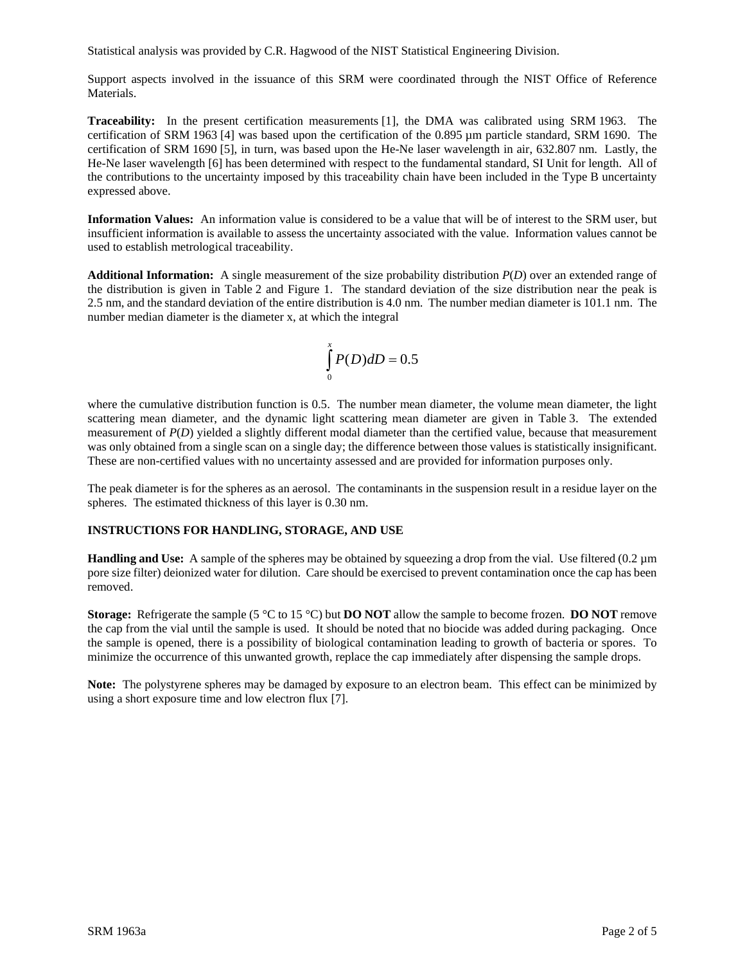Statistical analysis was provided by C.R. Hagwood of the NIST Statistical Engineering Division.

Support aspects involved in the issuance of this SRM were coordinated through the NIST Office of Reference Materials.

**Traceability:** In the present certification measurements [1], the DMA was calibrated using SRM 1963. The certification of SRM 1963 [4] was based upon the certification of the 0.895 µm particle standard, SRM 1690. The certification of SRM 1690 [5], in turn, was based upon the He-Ne laser wavelength in air, 632.807 nm. Lastly, the He-Ne laser wavelength [6] has been determined with respect to the fundamental standard, SI Unit for length. All of the contributions to the uncertainty imposed by this traceability chain have been included in the Type B uncertainty expressed above.

**Information Values:** An information value is considered to be a value that will be of interest to the SRM user, but insufficient information is available to assess the uncertainty associated with the value. Information values cannot be used to establish metrological traceability.

**Additional Information:** A single measurement of the size probability distribution *P*(*D*) over an extended range of the distribution is given in Table 2 and Figure 1. The standard deviation of the size distribution near the peak is 2.5 nm, and the standard deviation of the entire distribution is 4.0 nm. The number median diameter is 101.1 nm. The number median diameter is the diameter x, at which the integral

$$
\int_{0}^{x} P(D) dD = 0.5
$$

where the cumulative distribution function is 0.5. The number mean diameter, the volume mean diameter, the light scattering mean diameter, and the dynamic light scattering mean diameter are given in Table 3. The extended measurement of *P(D)* yielded a slightly different modal diameter than the certified value, because that measurement was only obtained from a single scan on a single day; the difference between those values is statistically insignificant. These are non-certified values with no uncertainty assessed and are provided for information purposes only.

The peak diameter is for the spheres as an aerosol. The contaminants in the suspension result in a residue layer on the spheres. The estimated thickness of this layer is 0.30 nm.

#### **INSTRUCTIONS FOR HANDLING, STORAGE, AND USE**

**Handling and Use:** A sample of the spheres may be obtained by squeezing a drop from the vial. Use filtered (0.2 µm pore size filter) deionized water for dilution. Care should be exercised to prevent contamination once the cap has been removed.

**Storage:** Refrigerate the sample (5 °C to 15 °C) but **DO NOT** allow the sample to become frozen. **DO NOT** remove the cap from the vial until the sample is used. It should be noted that no biocide was added during packaging. Once the sample is opened, there is a possibility of biological contamination leading to growth of bacteria or spores. To minimize the occurrence of this unwanted growth, replace the cap immediately after dispensing the sample drops.

**Note:** The polystyrene spheres may be damaged by exposure to an electron beam. This effect can be minimized by using a short exposure time and low electron flux [7].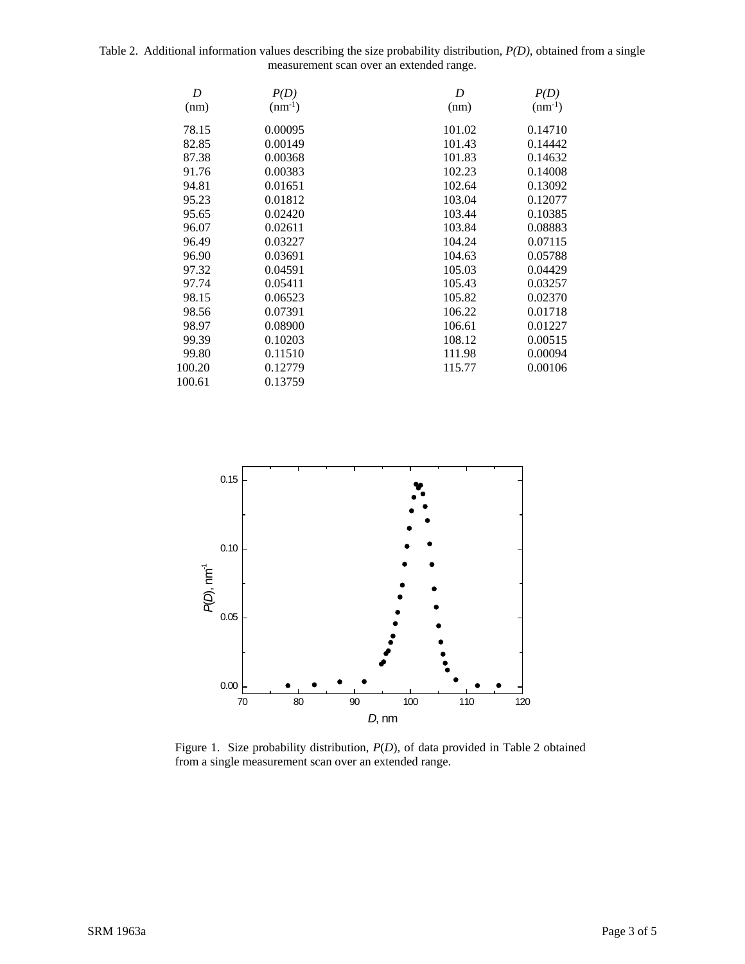Table 2. Additional information values describing the size probability distribution, *P(D)*, obtained from a single measurement scan over an extended range.

| D      | P(D)        | D      | P(D)        |
|--------|-------------|--------|-------------|
| (nm)   | $(nm^{-1})$ | (nm)   | $(nm^{-1})$ |
| 78.15  | 0.00095     | 101.02 | 0.14710     |
| 82.85  | 0.00149     | 101.43 | 0.14442     |
| 87.38  | 0.00368     | 101.83 | 0.14632     |
| 91.76  | 0.00383     | 102.23 | 0.14008     |
| 94.81  | 0.01651     | 102.64 | 0.13092     |
| 95.23  | 0.01812     | 103.04 | 0.12077     |
| 95.65  | 0.02420     | 103.44 | 0.10385     |
| 96.07  | 0.02611     | 103.84 | 0.08883     |
| 96.49  | 0.03227     | 104.24 | 0.07115     |
| 96.90  | 0.03691     | 104.63 | 0.05788     |
| 97.32  | 0.04591     | 105.03 | 0.04429     |
| 97.74  | 0.05411     | 105.43 | 0.03257     |
| 98.15  | 0.06523     | 105.82 | 0.02370     |
| 98.56  | 0.07391     | 106.22 | 0.01718     |
| 98.97  | 0.08900     | 106.61 | 0.01227     |
| 99.39  | 0.10203     | 108.12 | 0.00515     |
| 99.80  | 0.11510     | 111.98 | 0.00094     |
| 100.20 | 0.12779     | 115.77 | 0.00106     |
| 100.61 | 0.13759     |        |             |



Figure 1. Size probability distribution, *P*(*D*), of data provided in Table 2 obtained from a single measurement scan over an extended range.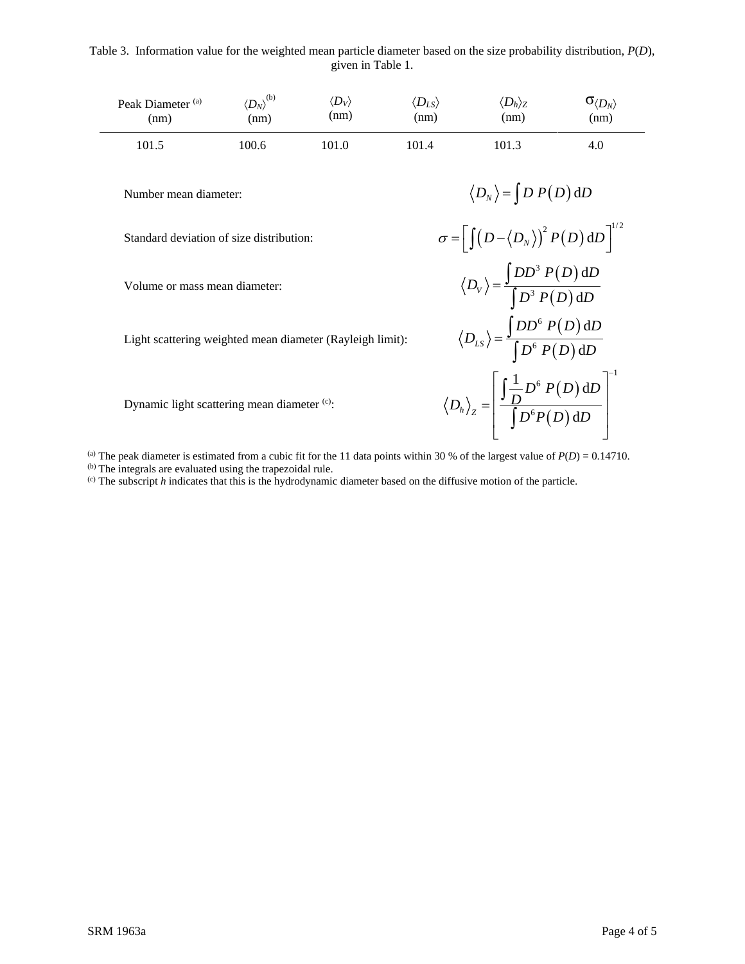Table 3. Information value for the weighted mean particle diameter based on the size probability distribution, *P*(*D*), given in Table 1.

| Peak Diameter <sup>(a)</sup><br>(nm)                      | $\langle D_N\rangle^{(\rm b)}$<br>(nm) | $\langle D_V \rangle$<br>(nm) | $\langle D_{LS} \rangle$<br>(nm)                                                                          | $\langle D_h\rangle_{\rm Z}$<br>(nm)                                                                                   | $\sigma_{\langle D_N\rangle}$<br>(nm) |  |  |
|-----------------------------------------------------------|----------------------------------------|-------------------------------|-----------------------------------------------------------------------------------------------------------|------------------------------------------------------------------------------------------------------------------------|---------------------------------------|--|--|
| 101.5                                                     | 100.6                                  | 101.0                         | 101.4                                                                                                     | 101.3                                                                                                                  | 4.0                                   |  |  |
| Number mean diameter:                                     |                                        |                               | $\langle D_N \rangle = \int D P(D) dD$                                                                    |                                                                                                                        |                                       |  |  |
| Standard deviation of size distribution:                  |                                        |                               | $\sigma = \left[ \int (D - \langle D_N \rangle)^2 P(D) dD \right]^{1/2}$                                  |                                                                                                                        |                                       |  |  |
| Volume or mass mean diameter:                             |                                        |                               |                                                                                                           | $\langle D_v \rangle = \frac{\int DD^3 P(D) \, \mathrm{d}D}{\int D^3 P(D) \, \mathrm{d}D}$                             |                                       |  |  |
| Light scattering weighted mean diameter (Rayleigh limit): |                                        |                               | $\langle D_{LS} \rangle = \frac{\int DD^{\circ} P(D) \, \mathrm{d}D}{\int D^{\circ} P(D) \, \mathrm{d}D}$ |                                                                                                                        |                                       |  |  |
| Dynamic light scattering mean diameter (c):               |                                        |                               |                                                                                                           | $\langle D_h \rangle_z = \left[ \frac{\int \frac{1}{D} D^6 P(D) \, \mathrm{d}D}{\int D^6 P(D) \, \mathrm{d}D} \right]$ |                                       |  |  |
|                                                           |                                        |                               |                                                                                                           |                                                                                                                        |                                       |  |  |

(a) The peak diameter is estimated from a cubic fit for the 11 data points within 30 % of the largest value of  $P(D) = 0.14710$ .

(b) The integrals are evaluated using the trapezoidal rule.

(c) The subscript *h* indicates that this is the hydrodynamic diameter based on the diffusive motion of the particle.